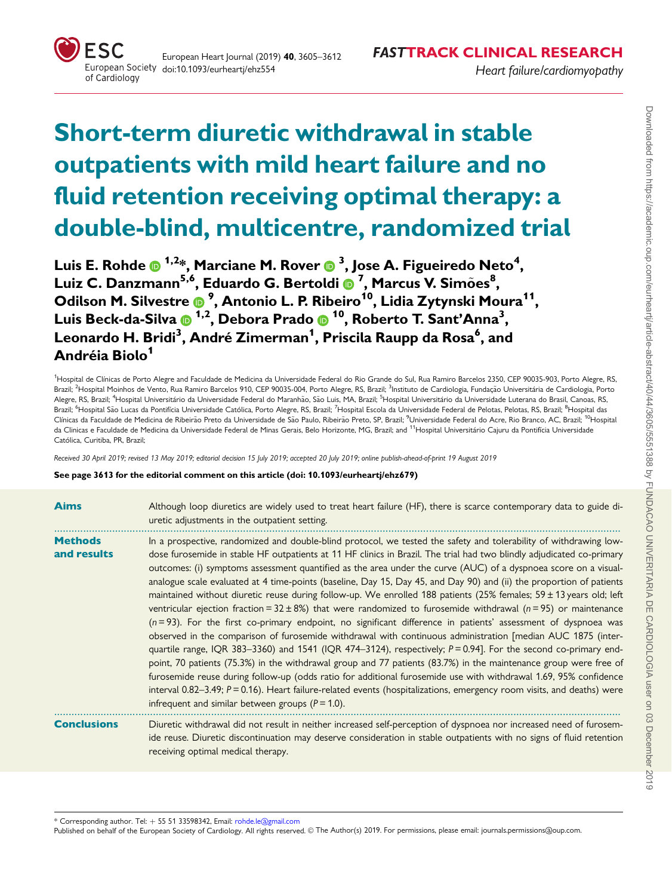# Short-term diuretic withdrawal in stable outpatients with mild heart failure and no fluid retention receiving optimal therapy: a double-blind, multicentre, randomized trial

Luis E. Rohde @ <sup>1,2</sup>\*, Marciane M. Rover @ <sup>3</sup>, Jose A. Figueiredo Neto<sup>4</sup>, Luiz C. Danzmann5,6, Eduardo G. Bertoldi <sup>7</sup> , Marcus V. Simoes ~ <sup>8</sup> , Odilson M. Silvestre ® <sup>9</sup>, Antonio L. P. Ribeiro<sup>10</sup>, Lidia Zytynski Moura<sup>11</sup>, Luis Beck-da-Silva 1,2, Debora Prado 10, Roberto T. Sant'Anna3 , Leonardo H. Bridi<sup>3</sup>, André Zimerman<sup>1</sup>, Priscila Raupp da Rosa<sup>6</sup>, and Andréia Biolo<sup>1</sup>

<sup>1</sup>Hospital de Clínicas de Porto Alegre and Faculdade de Medicina da Universidade Federal do Rio Grande do Sul, Rua Ramiro Barcelos 2350, CEP 90035-903, Porto Alegre, RS, Brazil; <sup>2</sup>Hospital Moinhos de Vento, Rua Ramiro Barcelos 910, CEP 90035-004, Porto Alegre, RS, Brazil; <sup>3</sup>Instituto de Cardiologia, Fundação Universitária de Cardiologia, Portc Alegre, RS, Brazil; <sup>4</sup>Hospital Universitário da Universidade Federal do Maranhão, São Luis, MA, Brazil; <sup>5</sup>Hospital Universitário da Universidade Luterana do Brasil, Canoas, RS. Brazil; <sup>6</sup>Hospital São Lucas da Pontifícia Universidade Católica, Porto Alegre, RS, Brazil; <sup>7</sup>Hospital Escola da Universidade Federal de Pelotas, Pelotas, RS, Brazil; <sup>8</sup>Hospital das Clínicas da Faculdade de Medicina de Ribeirão Preto da Universidade de São Paulo, Ribeirão Preto, SP, Brazil; <sup>9</sup>Universidade Federal do Acre, Rio Branco, AC, Brazil; <sup>10</sup>Hospital da Clinicas e Faculdade de Medicina da Universidade Federal de Minas Gerais, Belo Horizonte, MG, Brazil; and <sup>11</sup>Hospital Universitário Cajuru da Pontifícia Universidade Católica, Curitiba, PR, Brazil;

Received 30 April 2019; revised 13 May 2019; editorial decision 15 July 2019; accepted 20 July 2019; online publish-ahead-of-print 19 August 2019

See page 3613 for the editorial comment on this article (doi: 10.1093/eurheartj/ehz679)

| <b>Aims</b>                   | Although loop diuretics are widely used to treat heart failure (HF), there is scarce contemporary data to guide di-<br>uretic adjustments in the outpatient setting.                                                                                                                                                                                                                                                                                                                                                                                                                                                                                                                                                                                                                                                                                                                                                                                                                                                                                                                                                                                                                                                                                                                                                                                                                                                                                                                                                         |
|-------------------------------|------------------------------------------------------------------------------------------------------------------------------------------------------------------------------------------------------------------------------------------------------------------------------------------------------------------------------------------------------------------------------------------------------------------------------------------------------------------------------------------------------------------------------------------------------------------------------------------------------------------------------------------------------------------------------------------------------------------------------------------------------------------------------------------------------------------------------------------------------------------------------------------------------------------------------------------------------------------------------------------------------------------------------------------------------------------------------------------------------------------------------------------------------------------------------------------------------------------------------------------------------------------------------------------------------------------------------------------------------------------------------------------------------------------------------------------------------------------------------------------------------------------------------|
| <b>Methods</b><br>and results | In a prospective, randomized and double-blind protocol, we tested the safety and tolerability of withdrawing low-<br>dose furosemide in stable HF outpatients at 11 HF clinics in Brazil. The trial had two blindly adjudicated co-primary<br>outcomes: (i) symptoms assessment quantified as the area under the curve (AUC) of a dyspnoea score on a visual-<br>analogue scale evaluated at 4 time-points (baseline, Day 15, Day 45, and Day 90) and (ii) the proportion of patients<br>maintained without diuretic reuse during follow-up. We enrolled 188 patients (25% females; $59 \pm 13$ years old; left<br>ventricular ejection fraction = $32 \pm 8\%$ ) that were randomized to furosemide withdrawal (n=95) or maintenance<br>$(n=93)$ . For the first co-primary endpoint, no significant difference in patients' assessment of dyspnoea was<br>observed in the comparison of furosemide withdrawal with continuous administration [median AUC 1875 (inter-<br>quartile range, IQR 383-3360) and 1541 (IQR 474-3124), respectively; $P = 0.94$ ]. For the second co-primary end-<br>point, 70 patients (75.3%) in the withdrawal group and 77 patients (83.7%) in the maintenance group were free of<br>furosemide reuse during follow-up (odds ratio for additional furosemide use with withdrawal 1.69, 95% confidence<br>interval $0.82-3.49$ ; $P = 0.16$ ). Heart failure-related events (hospitalizations, emergency room visits, and deaths) were<br>infrequent and similar between groups ( $P = 1.0$ ). |
| <b>Conclusions</b>            | Diuretic withdrawal did not result in neither increased self-perception of dyspnoea nor increased need of furosem-<br>ide reuse. Diuretic discontinuation may deserve consideration in stable outpatients with no signs of fluid retention<br>receiving optimal medical therapy.                                                                                                                                                                                                                                                                                                                                                                                                                                                                                                                                                                                                                                                                                                                                                                                                                                                                                                                                                                                                                                                                                                                                                                                                                                             |

 $*$  Corresponding author. Tel:  $+555133598342$ , Email: rohde.le@gmail.com

Published on behalf of the European Society of Cardiology. All rights reserved. © The Author(s) 2019. For permissions, please email: journals.permissions@oup.com.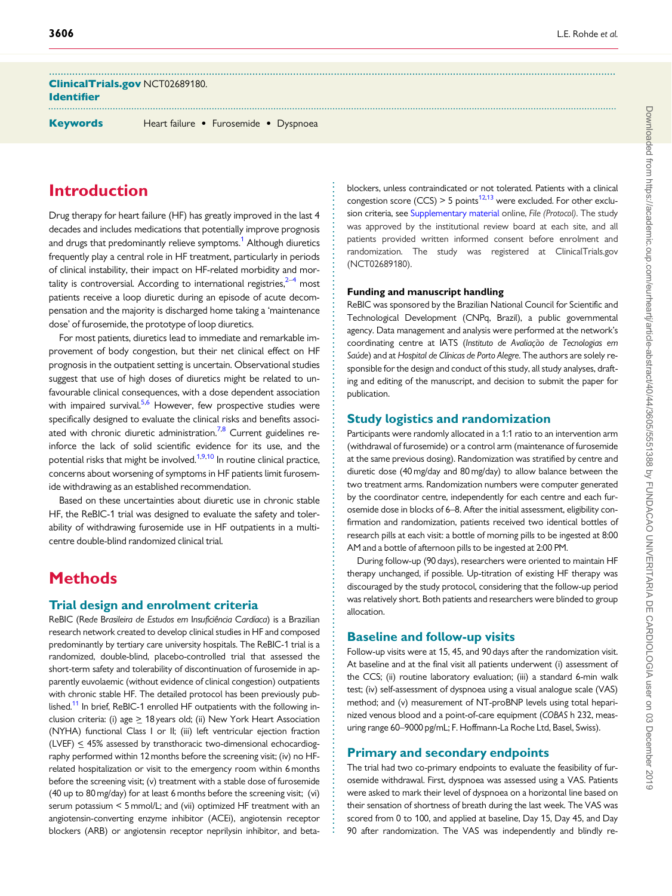ClinicalTrials.gov NCT02689180. Identifier

Keywords Heart failure • Furosemide • Dyspnoea

<span id="page-1-0"></span>...................................................................................................................................................................................................

## Introduction

Drug therapy for heart failure (HF) has greatly improved in the last 4 decades and includes medications that potentially improve prognosis and drugs that predominantly relieve symptoms.<sup>1</sup> Although diuretics frequently play a central role in HF treatment, particularly in periods of clinical instability, their impact on HF-related morbidity and mortality is controversial. According to international registries, $2-4$  most patients receive a loop diuretic during an episode of acute decompensation and the majority is discharged home taking a 'maintenance dose' of furosemide, the prototype of loop diuretics.

For most patients, diuretics lead to immediate and remarkable improvement of body congestion, but their net clinical effect on HF prognosis in the outpatient setting is uncertain. Observational studies suggest that use of high doses of diuretics might be related to unfavourable clinical consequences, with a dose dependent association with impaired survival.<sup>[5,6](#page-7-0)</sup> However, few prospective studies were specifically designed to evaluate the clinical risks and benefits associated with chronic diuretic administration.<sup>7,8</sup> Current guidelines reinforce the lack of solid scientific evidence for its use, and the potential risks that might be involved.<sup>1,[9,10](#page-7-0)</sup> In routine clinical practice, concerns about worsening of symptoms in HF patients limit furosemide withdrawing as an established recommendation.

Based on these uncertainties about diuretic use in chronic stable HF, the ReBIC-1 trial was designed to evaluate the safety and tolerability of withdrawing furosemide use in HF outpatients in a multicentre double-blind randomized clinical trial.

# **Methods**

#### Trial design and enrolment criteria

ReBIC (Rede Brasileira de Estudos em Insuficiência Cardíaca) is a Brazilian research network created to develop clinical studies in HF and composed predominantly by tertiary care university hospitals. The ReBIC-1 trial is a randomized, double-blind, placebo-controlled trial that assessed the short-term safety and tolerability of discontinuation of furosemide in apparently euvolaemic (without evidence of clinical congestion) outpatients with chronic stable HF. The detailed protocol has been previously pub-lished.<sup>[11](#page-7-0)</sup> In brief, ReBIC-1 enrolled HF outpatients with the following inclusion criteria: (i) age  $\geq$  18 years old; (ii) New York Heart Association (NYHA) functional Class I or II; (iii) left ventricular ejection fraction (LVEF)  $\leq$  45% assessed by transthoracic two-dimensional echocardiography performed within 12 months before the screening visit; (iv) no HFrelated hospitalization or visit to the emergency room within 6 months before the screening visit; (v) treatment with a stable dose of furosemide (40 up to 80 mg/day) for at least 6 months before the screening visit; (vi) serum potassium < 5 mmol/L; and (vii) optimized HF treatment with an angiotensin-converting enzyme inhibitor (ACEi), angiotensin receptor blockers (ARB) or angiotensin receptor neprilysin inhibitor, and betablockers, unless contraindicated or not tolerated. Patients with a clinical congestion score (CCS) > 5 points<sup>12,13</sup> were excluded. For other exclu-sion criteria, see [Supplementary material](https://academic.oup.com/eurheartj/article-lookup/doi/10.1093/eurheartj/ehz554#supplementary-data) online, File (Protocol). The study was approved by the institutional review board at each site, and all patients provided written informed consent before enrolment and randomization. The study was registered at ClinicalTrials.gov (NCT02689180).

#### Funding and manuscript handling

ReBIC was sponsored by the Brazilian National Council for Scientific and Technological Development (CNPq, Brazil), a public governmental agency. Data management and analysis were performed at the network's coordinating centre at IATS (Instituto de Avaliação de Tecnologias em Saúde) and at Hospital de Clínicas de Porto Alegre. The authors are solely responsible for the design and conduct of this study, all study analyses, drafting and editing of the manuscript, and decision to submit the paper for publication.

## Study logistics and randomization

Participants were randomly allocated in a 1:1 ratio to an intervention arm (withdrawal of furosemide) or a control arm (maintenance of furosemide at the same previous dosing). Randomization was stratified by centre and diuretic dose (40 mg/day and 80 mg/day) to allow balance between the two treatment arms. Randomization numbers were computer generated by the coordinator centre, independently for each centre and each furosemide dose in blocks of 6–8. After the initial assessment, eligibility confirmation and randomization, patients received two identical bottles of research pills at each visit: a bottle of morning pills to be ingested at 8:00 AM and a bottle of afternoon pills to be ingested at 2:00 PM.

During follow-up (90 days), researchers were oriented to maintain HF therapy unchanged, if possible. Up-titration of existing HF therapy was discouraged by the study protocol, considering that the follow-up period was relatively short. Both patients and researchers were blinded to group allocation.

## Baseline and follow-up visits

Follow-up visits were at 15, 45, and 90 days after the randomization visit. At baseline and at the final visit all patients underwent (i) assessment of the CCS; (ii) routine laboratory evaluation; (iii) a standard 6-min walk test; (iv) self-assessment of dyspnoea using a visual analogue scale (VAS) method; and (v) measurement of NT-proBNP levels using total heparinized venous blood and a point-of-care equipment (COBAS h 232, measuring range 60–9000 pg/mL; F. Hoffmann-La Roche Ltd, Basel, Swiss).

### Primary and secondary endpoints

. . . . . . . . . . . . . . . . . . . . . . . . . . . . . . . . . . . . . . . . . . . . . . . . . . . . . . . . . . . . . . . . . . . . . . . . . . . . . . . . . . . . . . . . . . . . . . . . . . . . . . . . . . . . . . . . . . . . . . . . . . . . . . . . . . . . . . . . . . . . . . . . . . .

The trial had two co-primary endpoints to evaluate the feasibility of furosemide withdrawal. First, dyspnoea was assessed using a VAS. Patients were asked to mark their level of dyspnoea on a horizontal line based on their sensation of shortness of breath during the last week. The VAS was scored from 0 to 100, and applied at baseline, Day 15, Day 45, and Day 90 after randomization. The VAS was independently and blindly re-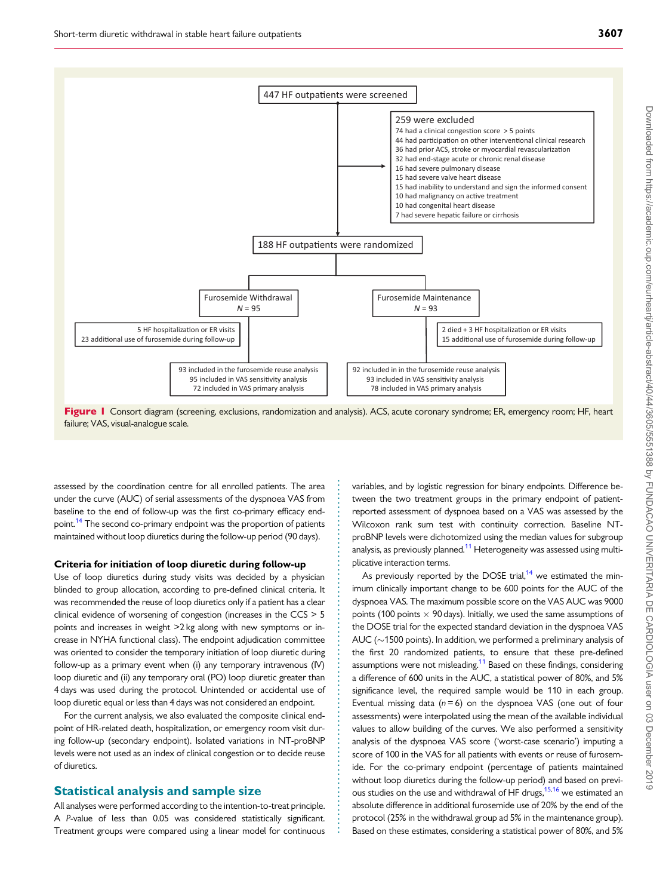<span id="page-2-0"></span>

Figure I Consort diagram (screening, exclusions, randomization and analysis). ACS, acute coronary syndrome; ER, emergency room; HF, heart failure; VAS, visual-analogue scale.

. . . . . . . . . . . . . . . . . . . . . . . . . . . . . . . . . . . . . . . . . . . . . . . . . . . . . . . . . . . . . . . . . . . . . . . . . . . . . . .

. assessed by the coordination centre for all enrolled patients. The area under the curve (AUC) of serial assessments of the dyspnoea VAS from baseline to the end of follow-up was the first co-primary efficacy end-point.<sup>[14](#page-7-0)</sup> The second co-primary endpoint was the proportion of patients maintained without loop diuretics during the follow-up period (90 days).

#### Criteria for initiation of loop diuretic during follow-up

Use of loop diuretics during study visits was decided by a physician blinded to group allocation, according to pre-defined clinical criteria. It was recommended the reuse of loop diuretics only if a patient has a clear clinical evidence of worsening of congestion (increases in the CCS > 5 points and increases in weight >2 kg along with new symptoms or increase in NYHA functional class). The endpoint adjudication committee was oriented to consider the temporary initiation of loop diuretic during follow-up as a primary event when (i) any temporary intravenous (IV) loop diuretic and (ii) any temporary oral (PO) loop diuretic greater than 4 days was used during the protocol. Unintended or accidental use of loop diuretic equal or less than 4 days was not considered an endpoint.

For the current analysis, we also evaluated the composite clinical endpoint of HR-related death, hospitalization, or emergency room visit during follow-up (secondary endpoint). Isolated variations in NT-proBNP levels were not used as an index of clinical congestion or to decide reuse of diuretics.

#### Statistical analysis and sample size

All analyses were performed according to the intention-to-treat principle. A P-value of less than 0.05 was considered statistically significant. Treatment groups were compared using a linear model for continuous variables, and by logistic regression for binary endpoints. Difference between the two treatment groups in the primary endpoint of patientreported assessment of dyspnoea based on a VAS was assessed by the Wilcoxon rank sum test with continuity correction. Baseline NTproBNP levels were dichotomized using the median values for subgroup analysis, as previously planned.<sup>11</sup> Heterogeneity was assessed using multiplicative interaction terms.

As previously reported by the DOSE trial, $14$  we estimated the minimum clinically important change to be 600 points for the AUC of the dyspnoea VAS. The maximum possible score on the VAS AUC was 9000 points (100 points  $\times$  90 days). Initially, we used the same assumptions of the DOSE trial for the expected standard deviation in the dyspnoea VAS AUC ( $\sim$ 1500 points). In addition, we performed a preliminary analysis of the first 20 randomized patients, to ensure that these pre-defined assumptions were not misleading.<sup>11</sup> Based on these findings, considering a difference of 600 units in the AUC, a statistical power of 80%, and 5% significance level, the required sample would be 110 in each group. Eventual missing data ( $n = 6$ ) on the dyspnoea VAS (one out of four assessments) were interpolated using the mean of the available individual values to allow building of the curves. We also performed a sensitivity analysis of the dyspnoea VAS score ('worst-case scenario') imputing a score of 100 in the VAS for all patients with events or reuse of furosemide. For the co-primary endpoint (percentage of patients maintained without loop diuretics during the follow-up period) and based on previous studies on the use and withdrawal of HF drugs, $15,16$  $15,16$  we estimated an absolute difference in additional furosemide use of 20% by the end of the protocol (25% in the withdrawal group ad 5% in the maintenance group). Based on these estimates, considering a statistical power of 80%, and 5%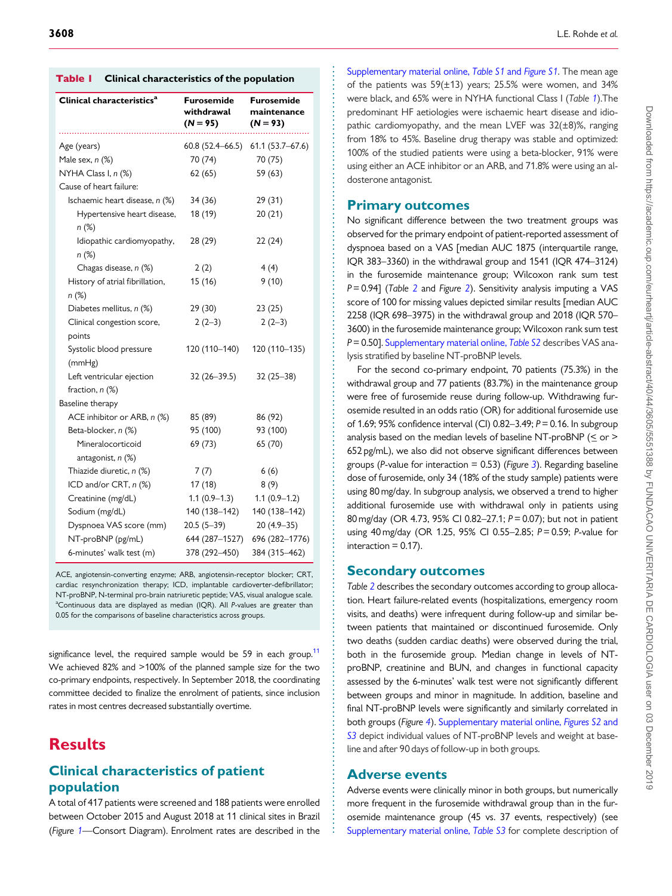|  | <b>Table I</b> Clinical characteristics of the population |  |  |
|--|-----------------------------------------------------------|--|--|
|--|-----------------------------------------------------------|--|--|

| Clinical characteristics <sup>a</sup>  | Furosemide<br>withdrawal<br>$(N = 95)$ | Furosemide<br>maintenance<br>$(N = 93)$ |
|----------------------------------------|----------------------------------------|-----------------------------------------|
| Age (years)                            | $60.8(52.4 - 66.5)$                    | $61.1(53.7 - 67.6)$                     |
| Male sex, n (%)                        | 70 (74)                                | 70 (75)                                 |
| NYHA Class I, n (%)                    | 62(65)                                 | 59 (63)                                 |
| Cause of heart failure:                |                                        |                                         |
| Ischaemic heart disease, n (%)         | 34 (36)                                | 29 (31)                                 |
| Hypertensive heart disease,<br>$n(\%)$ | 18 (19)                                | 20(21)                                  |
| Idiopathic cardiomyopathy,<br>$n (\%)$ | 28 (29)                                | 22(24)                                  |
| Chagas disease, n (%)                  | 2(2)                                   | 4(4)                                    |
| History of atrial fibrillation,        | 15 (16)                                | 9(10)                                   |
| n (%)                                  |                                        |                                         |
| Diabetes mellitus, n (%)               | 29 (30)                                | 23(25)                                  |
| Clinical congestion score,             | $2(2-3)$                               | $2(2-3)$                                |
| points                                 |                                        |                                         |
| Systolic blood pressure                | 120 (110-140)                          | 120 (110-135)                           |
| (mmHg)                                 |                                        |                                         |
| Left ventricular ejection              | $32(26 - 39.5)$                        | $32(25-38)$                             |
| fraction, $n$ $(\%)$                   |                                        |                                         |
| Baseline therapy                       |                                        |                                         |
| ACE inhibitor or ARB, n (%)            | 85 (89)                                | 86 (92)                                 |
| Beta-blocker, n (%)                    | 95 (100)                               | 93 (100)                                |
| Mineralocorticoid<br>antagonist, n (%) | 69 (73)                                | 65 (70)                                 |
| Thiazide diuretic, n (%)               | 7(7)                                   | 6(6)                                    |
| ICD and/or CRT, n (%)                  | 17(18)                                 | 8(9)                                    |
| Creatinine (mg/dL)                     | $1.1(0.9-1.3)$                         | $1.1(0.9-1.2)$                          |
| Sodium (mg/dL)                         | 140 (138-142)                          | 140 (138-142)                           |
| Dyspnoea VAS score (mm)                | $20.5(5-39)$                           | $20(4.9-35)$                            |
| NT-proBNP (pg/mL)                      | 644 (287-1527)                         | 696 (282-1776)                          |
| 6-minutes' walk test (m)               | 378 (292-450)                          | 384 (315-462)                           |

ACE, angiotensin-converting enzyme; ARB, angiotensin-receptor blocker; CRT, cardiac resynchronization therapy; ICD, implantable cardioverter-defibrillator; NT-proBNP, N-terminal pro-brain natriuretic peptide; VAS, visual analogue scale. <sup>a</sup>Continuous data are displayed as median (IQR). All P-values are greater than 0.05 for the comparisons of baseline characteristics across groups.

significance level, the required sample would be 59 in each group.<sup>11</sup> We achieved 82% and >100% of the planned sample size for the two co-primary endpoints, respectively. In September 2018, the coordinating committee decided to finalize the enrolment of patients, since inclusion rates in most centres decreased substantially overtime.

## **Results**

## Clinical characteristics of patient population

A total of 417 patients were screened and 188 patients were enrolled between October 2015 and August 2018 at 11 clinical sites in Brazil (Figure [1](#page-2-0)—Consort Diagram). Enrolment rates are described in the

[Supplementary material online,](https://academic.oup.com/eurheartj/article-lookup/doi/10.1093/eurheartj/ehz554#supplementary-data) Table S1 and Figure S1. The mean age of the patients was  $59(\pm 13)$  years; 25.5% were women, and 34% were black, and 65% were in NYHA functional Class I (Table 1).The predominant HF aetiologies were ischaemic heart disease and idiopathic cardiomyopathy, and the mean LVEF was 32(±8)%, ranging from 18% to 45%. Baseline drug therapy was stable and optimized: 100% of the studied patients were using a beta-blocker, 91% were using either an ACE inhibitor or an ARB, and 71.8% were using an aldosterone antagonist.

## Primary outcomes

No significant difference between the two treatment groups was observed for the primary endpoint of patient-reported assessment of dyspnoea based on a VAS [median AUC 1875 (interquartile range, IQR 383–3360) in the withdrawal group and 1541 (IQR 474–3124) in the furosemide maintenance group; Wilcoxon rank sum test  $P = 0.94$ ] (Table [2](#page-4-0) and Figure 2). Sensitivity analysis imputing a VAS score of 100 for missing values depicted similar results [median AUC 2258 (IQR 698–3975) in the withdrawal group and 2018 (IQR 570– 3600) in the furosemide maintenance group; Wilcoxon rank sum test P = 0.50]. [Supplementary material online,](https://academic.oup.com/eurheartj/article-lookup/doi/10.1093/eurheartj/ehz554#supplementary-data) Table S2 describes VAS analysis stratified by baseline NT-proBNP levels.

For the second co-primary endpoint, 70 patients (75.3%) in the withdrawal group and 77 patients (83.7%) in the maintenance group were free of furosemide reuse during follow-up. Withdrawing furosemide resulted in an odds ratio (OR) for additional furosemide use of 1.69; 95% confidence interval (CI) 0.82–3.49; P= 0.16. In subgroup analysis based on the median levels of baseline NT-proBNP ( $\leq$  or > 652 pg/mL), we also did not observe significant differences between groups (P-value for interaction = 0.5[3](#page-4-0)) (Figure 3). Regarding baseline dose of furosemide, only 34 (18% of the study sample) patients were using 80 mg/day. In subgroup analysis, we observed a trend to higher additional furosemide use with withdrawal only in patients using 80 mg/day (OR 4.73, 95% CI 0.82–27.1; P= 0.07); but not in patient using 40 mg/day (OR 1.25, 95% CI 0.55–2.85; P= 0.59; P-value for  $interaction = 0.17$ ).

## Secondary outcomes

Table [2](#page-4-0) describes the secondary outcomes according to group allocation. Heart failure-related events (hospitalizations, emergency room visits, and deaths) were infrequent during follow-up and similar between patients that maintained or discontinued furosemide. Only two deaths (sudden cardiac deaths) were observed during the trial, both in the furosemide group. Median change in levels of NTproBNP, creatinine and BUN, and changes in functional capacity assessed by the 6-minutes' walk test were not significantly different between groups and minor in magnitude. In addition, baseline and final NT-proBNP levels were significantly and similarly correlated in both groups (Figure [4](#page-5-0)). [Supplementary material online,](https://academic.oup.com/eurheartj/article-lookup/doi/10.1093/eurheartj/ehz554#supplementary-data) Figures S2 and [S3](https://academic.oup.com/eurheartj/article-lookup/doi/10.1093/eurheartj/ehz554#supplementary-data) depict individual values of NT-proBNP levels and weight at baseline and after 90 days of follow-up in both groups.

## Adverse events

. . . . . . . . . . . . . . . . . . . . . . . . . . . . . . . . . . . . . . . . . . . . . . . . . . . . . . . . . . . . . . . . . . . . . . . . . . . . . . . . . . . . . . . . . . . . . . . . . . . . . . . . . . . . . . . . . . . . . . . . . . . . . . . . . . . . . . . . . . . . . . . . . . . . . . . . . . . . . . . . . . . . . . . . . . . . .

Adverse events were clinically minor in both groups, but numerically more frequent in the furosemide withdrawal group than in the furosemide maintenance group (45 vs. 37 events, respectively) (see [Supplementary material online,](https://academic.oup.com/eurheartj/article-lookup/doi/10.1093/eurheartj/ehz554#supplementary-data) Table S3 for complete description of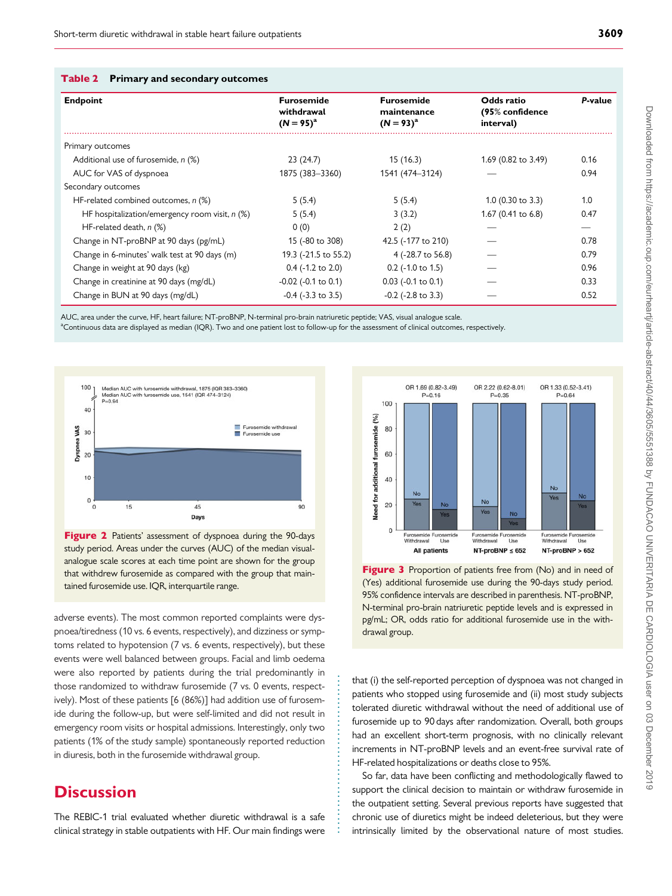<span id="page-4-0"></span>

|  | <b>Table 2</b> Primary and secondary outcomes |  |  |
|--|-----------------------------------------------|--|--|
|--|-----------------------------------------------|--|--|

| <b>Endpoint</b>                                  | <b>Furosemide</b><br>withdrawal<br>$(N = 95)^{a}$ | <b>Furosemide</b><br>maintenance<br>$(N = 93)^{a}$ | Odds ratio<br>(95% confidence<br>interval) | P-value |
|--------------------------------------------------|---------------------------------------------------|----------------------------------------------------|--------------------------------------------|---------|
| Primary outcomes                                 |                                                   |                                                    |                                            |         |
| Additional use of furosemide, n (%)              | 23(24.7)                                          | 15(16.3)                                           | 1.69 (0.82 to 3.49)                        | 0.16    |
| AUC for VAS of dyspnoea                          | 1875 (383-3360)                                   | 1541 (474-3124)                                    |                                            | 0.94    |
| Secondary outcomes                               |                                                   |                                                    |                                            |         |
| HF-related combined outcomes, n (%)              | 5(5.4)                                            | 5(5.4)                                             | $1.0$ (0.30 to 3.3)                        | 1.0     |
| HF hospitalization/emergency room visit, $n$ (%) | 5(5.4)                                            | 3(3.2)                                             | 1.67 (0.41 to 6.8)                         | 0.47    |
| HF-related death, $n$ $(\%)$                     | 0(0)                                              | 2(2)                                               |                                            |         |
| Change in NT-proBNP at 90 days (pg/mL)           | 15 (-80 to 308)                                   | 42.5 (-177 to 210)                                 |                                            | 0.78    |
| Change in 6-minutes' walk test at 90 days (m)    | 19.3 (-21.5 to 55.2)                              | 4 (-28.7 to 56.8)                                  |                                            | 0.79    |
| Change in weight at 90 days (kg)                 | $0.4$ (-1.2 to 2.0)                               | $0.2$ (-1.0 to 1.5)                                |                                            | 0.96    |
| Change in creatinine at 90 days (mg/dL)          | $-0.02$ ( $-0.1$ to 0.1)                          | $0.03$ (-0.1 to 0.1)                               |                                            | 0.33    |
| Change in BUN at 90 days (mg/dL)                 | $-0.4$ ( $-3.3$ to 3.5)                           | $-0.2$ ( $-2.8$ to 3.3)                            |                                            | 0.52    |

. . . . . . . . . . . . . . . . . . . . . . . . . . . . . . . . . . . .

AUC, area under the curve, HF, heart failure; NT-proBNP, N-terminal pro-brain natriuretic peptide; VAS, visual analogue scale.

a<br>Continuous data are displayed as median (IQR). Two and one patient lost to follow-up for the assessment of clinical outcomes, respectively.





adverse events). The most common reported complaints were dyspnoea/tiredness (10 vs. 6 events, respectively), and dizziness or symptoms related to hypotension (7 vs. 6 events, respectively), but these events were well balanced between groups. Facial and limb oedema were also reported by patients during the trial predominantly in those randomized to withdraw furosemide (7 vs. 0 events, respectively). Most of these patients [6 (86%)] had addition use of furosemide during the follow-up, but were self-limited and did not result in emergency room visits or hospital admissions. Interestingly, only two patients (1% of the study sample) spontaneously reported reduction in diuresis, both in the furosemide withdrawal group.

## **Discussion**

The REBIC-1 trial evaluated whether diuretic withdrawal is a safe clinical strategy in stable outpatients with HF. Our main findings were



Figure 3 Proportion of patients free from (No) and in need of (Yes) additional furosemide use during the 90-days study period. 95% confidence intervals are described in parenthesis. NT-proBNP, N-terminal pro-brain natriuretic peptide levels and is expressed in pg/mL; OR, odds ratio for additional furosemide use in the withdrawal group.

that (i) the self-reported perception of dyspnoea was not changed in patients who stopped using furosemide and (ii) most study subjects tolerated diuretic withdrawal without the need of additional use of furosemide up to 90 days after randomization. Overall, both groups had an excellent short-term prognosis, with no clinically relevant increments in NT-proBNP levels and an event-free survival rate of HF-related hospitalizations or deaths close to 95%.

So far, data have been conflicting and methodologically flawed to support the clinical decision to maintain or withdraw furosemide in the outpatient setting. Several previous reports have suggested that chronic use of diuretics might be indeed deleterious, but they were intrinsically limited by the observational nature of most studies.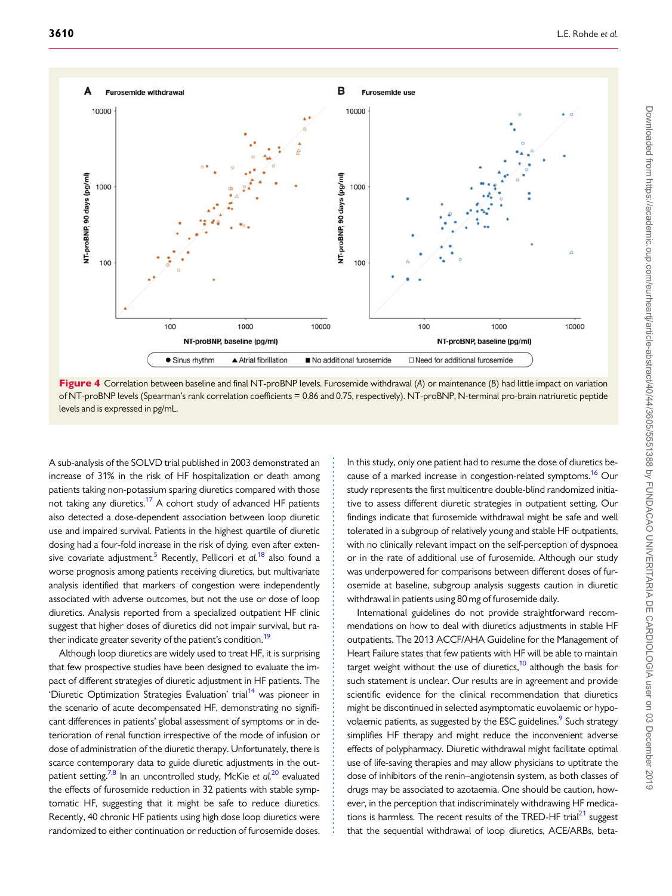<span id="page-5-0"></span>



. . . . . . . . . . . . . . . . . . . . . . . . . . . . . . . . . . . . . . . . . . . . . . . . . . . . . . . . . . . . . . . . . . . . . . . . . . . . . . . . . . . .

. A sub-analysis of the SOLVD trial published in 2003 demonstrated an increase of 31% in the risk of HF hospitalization or death among patients taking non-potassium sparing diuretics compared with those not taking any diuretics.<sup>[17](#page-7-0)</sup> A cohort study of advanced HF patients also detected a dose-dependent association between loop diuretic use and impaired survival. Patients in the highest quartile of diuretic dosing had a four-fold increase in the risk of dying, even after extensive covariate adjustment.<sup>5</sup> Recently, Pellicori et  $al^{18}$  $al^{18}$  $al^{18}$  also found a worse prognosis among patients receiving diuretics, but multivariate analysis identified that markers of congestion were independently associated with adverse outcomes, but not the use or dose of loop diuretics. Analysis reported from a specialized outpatient HF clinic suggest that higher doses of diuretics did not impair survival, but rather indicate greater severity of the patient's condition.<sup>19</sup>

Although loop diuretics are widely used to treat HF, it is surprising that few prospective studies have been designed to evaluate the impact of different strategies of diuretic adjustment in HF patients. The 'Diuretic Optimization Strategies Evaluation' trial<sup>14</sup> was pioneer in the scenario of acute decompensated HF, demonstrating no significant differences in patients' global assessment of symptoms or in deterioration of renal function irrespective of the mode of infusion or dose of administration of the diuretic therapy. Unfortunately, there is scarce contemporary data to guide diuretic adjustments in the outpatient setting.<sup>7,8</sup> In an uncontrolled study, McKie et  $al^{20}$  $al^{20}$  $al^{20}$  evaluated the effects of furosemide reduction in 32 patients with stable symptomatic HF, suggesting that it might be safe to reduce diuretics. Recently, 40 chronic HF patients using high dose loop diuretics were randomized to either continuation or reduction of furosemide doses. In this study, only one patient had to resume the dose of diuretics because of a marked increase in congestion-related symptoms.<sup>16</sup> Our study represents the first multicentre double-blind randomized initiative to assess different diuretic strategies in outpatient setting. Our findings indicate that furosemide withdrawal might be safe and well tolerated in a subgroup of relatively young and stable HF outpatients, with no clinically relevant impact on the self-perception of dyspnoea or in the rate of additional use of furosemide. Although our study was underpowered for comparisons between different doses of furosemide at baseline, subgroup analysis suggests caution in diuretic withdrawal in patients using 80 mg of furosemide daily.

International guidelines do not provide straightforward recommendations on how to deal with diuretics adjustments in stable HF outpatients. The 2013 ACCF/AHA Guideline for the Management of Heart Failure states that few patients with HF will be able to maintain target weight without the use of diuretics,<sup>10</sup> although the basis for such statement is unclear. Our results are in agreement and provide scientific evidence for the clinical recommendation that diuretics might be discontinued in selected asymptomatic euvolaemic or hypovolaemic patients, as suggested by the ESC guidelines.<sup>9</sup> Such strategy simplifies HF therapy and might reduce the inconvenient adverse effects of polypharmacy. Diuretic withdrawal might facilitate optimal use of life-saving therapies and may allow physicians to uptitrate the dose of inhibitors of the renin–angiotensin system, as both classes of drugs may be associated to azotaemia. One should be caution, however, in the perception that indiscriminately withdrawing HF medications is harmless. The recent results of the TRED-HF trial $^{21}$  suggest that the sequential withdrawal of loop diuretics, ACE/ARBs, beta-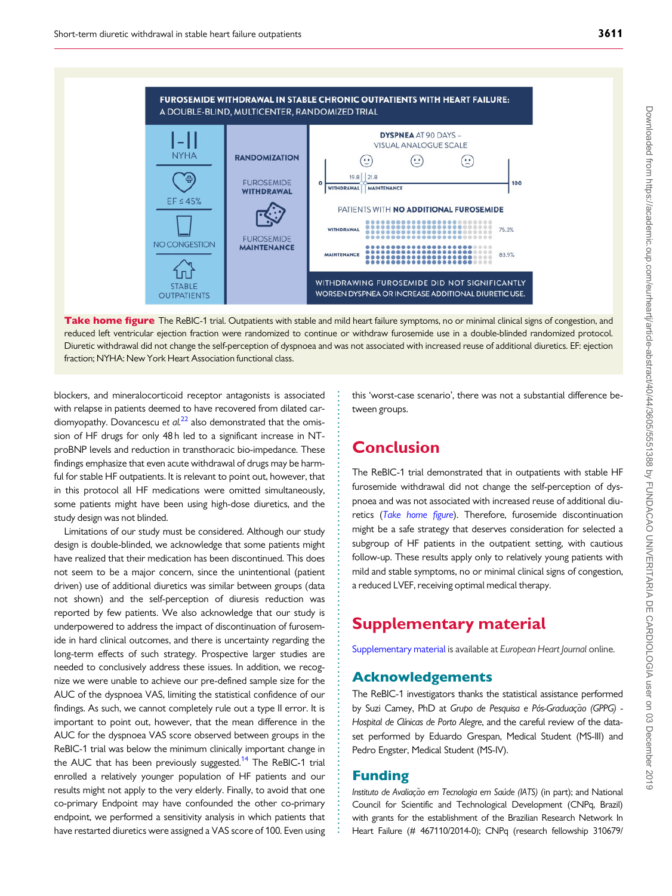<span id="page-6-0"></span>



. blockers, and mineralocorticoid receptor antagonists is associated with relapse in patients deemed to have recovered from dilated cardiomyopathy. Dovancescu et  $al^{22}$  $al^{22}$  $al^{22}$  also demonstrated that the omission of HF drugs for only 48 h led to a significant increase in NTproBNP levels and reduction in transthoracic bio-impedance. These findings emphasize that even acute withdrawal of drugs may be harmful for stable HF outpatients. It is relevant to point out, however, that in this protocol all HF medications were omitted simultaneously, some patients might have been using high-dose diuretics, and the study design was not blinded.

Limitations of our study must be considered. Although our study design is double-blinded, we acknowledge that some patients might have realized that their medication has been discontinued. This does not seem to be a major concern, since the unintentional (patient driven) use of additional diuretics was similar between groups (data not shown) and the self-perception of diuresis reduction was reported by few patients. We also acknowledge that our study is underpowered to address the impact of discontinuation of furosemide in hard clinical outcomes, and there is uncertainty regarding the long-term effects of such strategy. Prospective larger studies are needed to conclusively address these issues. In addition, we recognize we were unable to achieve our pre-defined sample size for the AUC of the dyspnoea VAS, limiting the statistical confidence of our findings. As such, we cannot completely rule out a type II error. It is important to point out, however, that the mean difference in the AUC for the dyspnoea VAS score observed between groups in the ReBIC-1 trial was below the minimum clinically important change in the AUC that has been previously suggested.<sup>[14](#page-7-0)</sup> The ReBIC-1 trial enrolled a relatively younger population of HF patients and our results might not apply to the very elderly. Finally, to avoid that one co-primary Endpoint may have confounded the other co-primary endpoint, we performed a sensitivity analysis in which patients that have restarted diuretics were assigned a VAS score of 100. Even using

this 'worst-case scenario', there was not a substantial difference between groups.

# Conclusion

The ReBIC-1 trial demonstrated that in outpatients with stable HF furosemide withdrawal did not change the self-perception of dyspnoea and was not associated with increased reuse of additional diuretics (Take home figure). Therefore, furosemide discontinuation might be a safe strategy that deserves consideration for selected a subgroup of HF patients in the outpatient setting, with cautious follow-up. These results apply only to relatively young patients with mild and stable symptoms, no or minimal clinical signs of congestion, a reduced LVEF, receiving optimal medical therapy.

# Supplementary material

[Supplementary material](https://academic.oup.com/eurheartj/article-lookup/doi/10.1093/eurheartj/ehz554#supplementary-data) is available at European Heart Journal online.

## Acknowledgements

The ReBIC-1 investigators thanks the statistical assistance performed by Suzi Camey, PhD at Grupo de Pesquisa e Pós-Graduação (GPPG) -Hospital de Clínicas de Porto Alegre, and the careful review of the dataset performed by Eduardo Grespan, Medical Student (MS-III) and Pedro Engster, Medical Student (MS-IV).

## Funding

. . . . . . . . . . . . . . . . . . . . . . . . . . . . . . . . . . . . . . . . . . . . . . . . . . . . . . . . . . . . . . . . . . . . . . . . . . . . . . . . . . . . . . . . . . . . . . . . . . .

Instituto de Avaliação em Tecnologia em Saúde (IATS) (in part); and National Council for Scientific and Technological Development (CNPq, Brazil) with grants for the establishment of the Brazilian Research Network In Heart Failure (# 467110/2014-0); CNPq (research fellowship 310679/